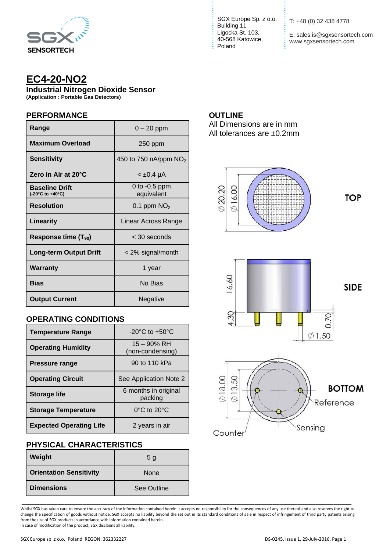

# **EC4-20-NO2**

**Industrial Nitrogen Dioxide Sensor**

**(Application : Portable Gas Detectors)**

#### **PERFORMANCE**

| Range                                     | $0 - 20$ ppm                  |
|-------------------------------------------|-------------------------------|
| <b>Maximum Overload</b>                   | 250 ppm                       |
| Sensitivity                               | 450 to 750 nA/ppm $NO2$       |
| Zero in Air at 20°C                       | < ±0.4 µA                     |
| <b>Baseline Drift</b><br>(-20°C to +40°C) | 0 to $-0.5$ ppm<br>equivalent |
| <b>Resolution</b>                         | 0.1 ppm $NO2$                 |
| <b>Linearity</b>                          | Linear Across Range           |
| Response time $(T_{90})$                  | $<$ 30 seconds                |
| Long-term Output Drift                    | < 2% signal/month             |
| Warranty                                  | 1 year                        |
| Bias                                      | No Bias                       |
| <b>Output Current</b>                     | Negative                      |

# **OPERATING CONDITIONS**

| <b>Temperature Range</b>       | $-20^{\circ}$ C to $+50^{\circ}$ C |
|--------------------------------|------------------------------------|
| <b>Operating Humidity</b>      | 15 - 90% RH<br>(non-condensing)    |
| <b>Pressure range</b>          | 90 to 110 kPa                      |
| <b>Operating Circuit</b>       | See Application Note 2             |
| <b>Storage life</b>            | 6 months in original<br>packing    |
| <b>Storage Temperature</b>     | $0^{\circ}$ C to $20^{\circ}$ C    |
| <b>Expected Operating Life</b> | 2 years in air                     |

# **PHYSICAL CHARACTERISTICS**

| Weight                         | 5 <sub>q</sub> |
|--------------------------------|----------------|
| <b>Orientation Sensitivity</b> | <b>None</b>    |
| <b>Dimensions</b>              | See Outline    |

SGX Europe Sp. z o.o. <br>
T: +48 (0) 32 438 4778 Building 11 Ligocka St. 103, 40-568 Katowice, Poland

E: sales.is@sgxsensortech.com www.sgxsensortech.com

## **OUTLINE**

All Dimensions are in mm All tolerances are ±0.2mm



Whilst SGX has taken care to ensure the accuracy of the information contained herein it accepts no responsibility for the consequences of any use thereof and also reserves the right to change the specification of goods without notice. SGX accepts no liability beyond the set out in its standard conditions of sale in respect of infringement of third party patents arising from the use of SGX products in accordance with information contained herein. In case of modification of the product, SGX disclaims all liability.

\_\_\_\_\_\_\_\_\_\_\_\_\_\_\_\_\_\_\_\_\_\_\_\_\_\_\_\_\_\_\_\_\_\_\_\_\_\_\_\_\_\_\_\_\_\_\_\_\_\_\_\_\_\_\_\_\_\_\_\_\_\_\_\_\_\_\_\_\_\_\_\_\_\_\_\_\_\_\_\_\_\_\_\_\_\_\_\_\_\_\_\_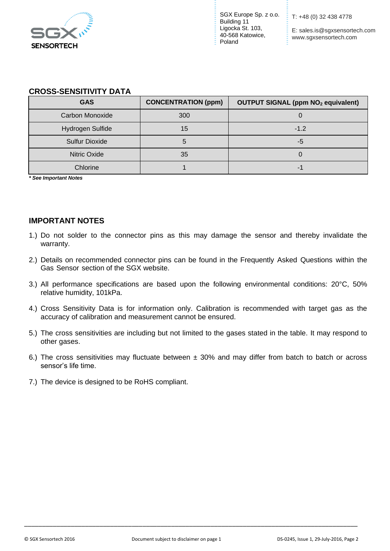

SGX Europe Sp. z o.o. Building 11 Ligocka St. 103, 40-568 Katowice, Poland

T: +48 (0) 32 438 4778

E: sales.is@sgxsensortech.com www.sgxsensortech.com

#### **CROSS-SENSITIVITY DATA**

| <b>GAS</b>              | <b>CONCENTRATION (ppm)</b> | <b>OUTPUT SIGNAL (ppm NO2 equivalent)</b> |
|-------------------------|----------------------------|-------------------------------------------|
| Carbon Monoxide         | 300                        |                                           |
| <b>Hydrogen Sulfide</b> | 15                         | $-1.2$                                    |
| <b>Sulfur Dioxide</b>   |                            | -5                                        |
| Nitric Oxide            | 35                         |                                           |
| Chlorine                |                            |                                           |

*\* See Important Notes*

## **IMPORTANT NOTES**

- 1.) Do not solder to the connector pins as this may damage the sensor and thereby invalidate the warranty.
- 2.) Details on recommended connector pins can be found in the Frequently Asked Questions within the Gas Sensor section of the SGX website.
- 3.) All performance specifications are based upon the following environmental conditions: 20°C, 50% relative humidity, 101kPa.
- 4.) Cross Sensitivity Data is for information only. Calibration is recommended with target gas as the accuracy of calibration and measurement cannot be ensured.
- 5.) The cross sensitivities are including but not limited to the gases stated in the table. It may respond to other gases.
- 6.) The cross sensitivities may fluctuate between  $\pm$  30% and may differ from batch to batch or across sensor's life time.
- 7.) The device is designed to be RoHS compliant.

\_\_\_\_\_\_\_\_\_\_\_\_\_\_\_\_\_\_\_\_\_\_\_\_\_\_\_\_\_\_\_\_\_\_\_\_\_\_\_\_\_\_\_\_\_\_\_\_\_\_\_\_\_\_\_\_\_\_\_\_\_\_\_\_\_\_\_\_\_\_\_\_\_\_\_\_\_\_\_\_\_\_\_\_\_\_\_\_\_\_\_\_\_